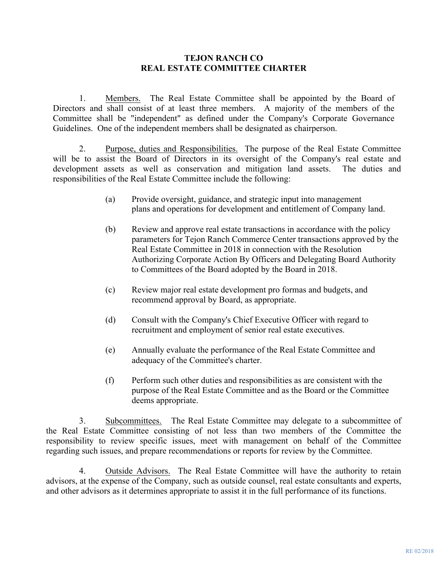## **TEJON RANCH CO REAL ESTATE COMMITTEE CHARTER**

1. Members. The Real Estate Committee shall be appointed by the Board of Directors and shall consist of at least three members. A majority of the members of the Committee shall be "independent" as defined under the Company's Corporate Governance Guidelines. One of the independent members shall be designated as chairperson.

2. Purpose, duties and Responsibilities. The purpose of the Real Estate Committee will be to assist the Board of Directors in its oversight of the Company's real estate and development assets as well as conservation and mitigation land assets. The duties and responsibilities of the Real Estate Committee include the following:

- (a) Provide oversight, guidance, and strategic input into management plans and operations for development and entitlement of Company land.
- (b) Review and approve real estate transactions in accordance with the policy parameters for Tejon Ranch Commerce Center transactions approved by the Real Estate Committee in 2018 in connection with the Resolution Authorizing Corporate Action By Officers and Delegating Board Authority to Committees of the Board adopted by the Board in 2018.
- (c) Review major real estate development pro formas and budgets, and recommend approval by Board, as appropriate.
- (d) Consult with the Company's Chief Executive Officer with regard to recruitment and employment of senior real estate executives.
- (e) Annually evaluate the performance of the Real Estate Committee and adequacy of the Committee's charter.
- (f) Perform such other duties and responsibilities as are consistent with the purpose of the Real Estate Committee and as the Board or the Committee deems appropriate.

3. Subcommittees. The Real Estate Committee may delegate to a subcommittee of the Real Estate Committee consisting of not less than two members of the Committee the responsibility to review specific issues, meet with management on behalf of the Committee regarding such issues, and prepare recommendations or reports for review by the Committee.

4. Outside Advisors. The Real Estate Committee will have the authority to retain advisors, at the expense of the Company, such as outside counsel, real estate consultants and experts, and other advisors as it determines appropriate to assist it in the full performance of its functions.